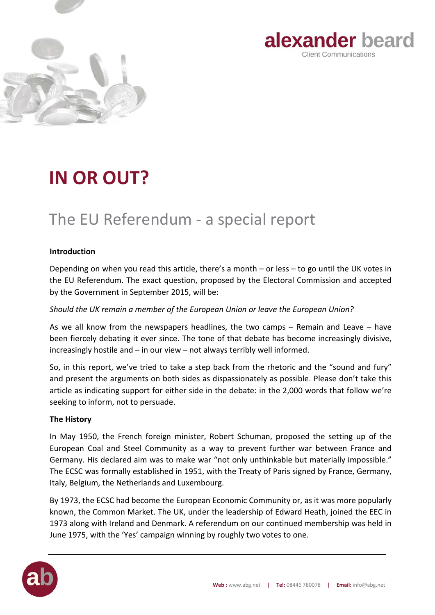



# **IN OR OUT?**

## The EU Referendum - a special report

## **Introduction**

Depending on when you read this article, there's a month – or less – to go until the UK votes in the EU Referendum. The exact question, proposed by the Electoral Commission and accepted by the Government in September 2015, will be:

*Should the UK remain a member of the European Union or leave the European Union?* 

As we all know from the newspapers headlines, the two camps – Remain and Leave – have been fiercely debating it ever since. The tone of that debate has become increasingly divisive, increasingly hostile and – in our view – not always terribly well informed.

So, in this report, we've tried to take a step back from the rhetoric and the "sound and fury" and present the arguments on both sides as dispassionately as possible. Please don't take this article as indicating support for either side in the debate: in the 2,000 words that follow we're seeking to inform, not to persuade.

## **The History**

In May 1950, the French foreign minister, Robert Schuman, proposed the setting up of the European Coal and Steel Community as a way to prevent further war between France and Germany. His declared aim was to make war "not only unthinkable but materially impossible." The ECSC was formally established in 1951, with the Treaty of Paris signed by France, Germany, Italy, Belgium, the Netherlands and Luxembourg.

By 1973, the ECSC had become the European Economic Community or, as it was more popularly known, the Common Market. The UK, under the leadership of Edward Heath, joined the EEC in 1973 along with Ireland and Denmark. A referendum on our continued membership was held in June 1975, with the 'Yes' campaign winning by roughly two votes to one.

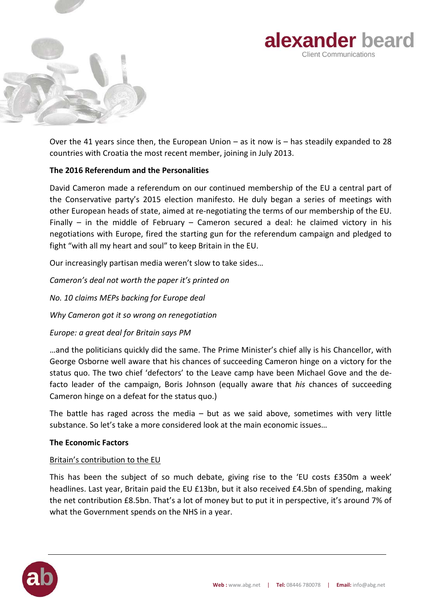



Over the 41 years since then, the European Union – as it now is – has steadily expanded to 28 countries with Croatia the most recent member, joining in July 2013.

## **The 2016 Referendum and the Personalities**

David Cameron made a referendum on our continued membership of the EU a central part of the Conservative party's 2015 election manifesto. He duly began a series of meetings with other European heads of state, aimed at re-negotiating the terms of our membership of the EU. Finally – in the middle of February – Cameron secured a deal: he claimed victory in his negotiations with Europe, fired the starting gun for the referendum campaign and pledged to fight "with all my heart and soul" to keep Britain in the EU.

Our increasingly partisan media weren't slow to take sides…

*Cameron's deal not worth the paper it's printed on No. 10 claims MEPs backing for Europe deal* 

*Why Cameron got it so wrong on renegotiation* 

*Europe: a great deal for Britain says PM*

…and the politicians quickly did the same. The Prime Minister's chief ally is his Chancellor, with George Osborne well aware that his chances of succeeding Cameron hinge on a victory for the status quo. The two chief 'defectors' to the Leave camp have been Michael Gove and the defacto leader of the campaign, Boris Johnson (equally aware that *his* chances of succeeding Cameron hinge on a defeat for the status quo.)

The battle has raged across the media – but as we said above, sometimes with very little substance. So let's take a more considered look at the main economic issues…

## **The Economic Factors**

## Britain's contribution to the EU

This has been the subject of so much debate, giving rise to the 'EU costs £350m a week' headlines. Last year, Britain paid the EU £13bn, but it also received £4.5bn of spending, making the net contribution £8.5bn. That's a lot of money but to put it in perspective, it's around 7% of what the Government spends on the NHS in a year.

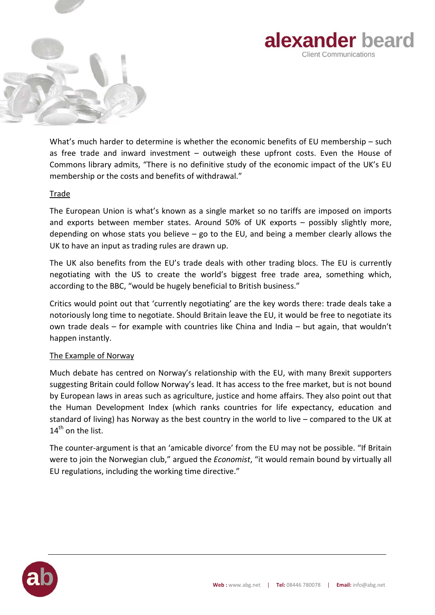



What's much harder to determine is whether the economic benefits of EU membership – such as free trade and inward investment – outweigh these upfront costs. Even the House of Commons library admits, "There is no definitive study of the economic impact of the UK's EU membership or the costs and benefits of withdrawal."

## Trade

The European Union is what's known as a single market so no tariffs are imposed on imports and exports between member states. Around 50% of UK exports – possibly slightly more, depending on whose stats you believe  $-$  go to the EU, and being a member clearly allows the UK to have an input as trading rules are drawn up.

The UK also benefits from the EU's trade deals with other trading blocs. The EU is currently negotiating with the US to create the world's biggest free trade area, something which, according to the BBC, "would be hugely beneficial to British business."

Critics would point out that 'currently negotiating' are the key words there: trade deals take a notoriously long time to negotiate. Should Britain leave the EU, it would be free to negotiate its own trade deals – for example with countries like China and India – but again, that wouldn't happen instantly.

## The Example of Norway

Much debate has centred on Norway's relationship with the EU, with many Brexit supporters suggesting Britain could follow Norway's lead. It has access to the free market, but is not bound by European laws in areas such as agriculture, justice and home affairs. They also point out that the Human Development Index (which ranks countries for life expectancy, education and standard of living) has Norway as the best country in the world to live – compared to the UK at 14<sup>th</sup> on the list.

The counter-argument is that an 'amicable divorce' from the EU may not be possible. "If Britain were to join the Norwegian club," argued the *Economist*, "it would remain bound by virtually all EU regulations, including the working time directive."

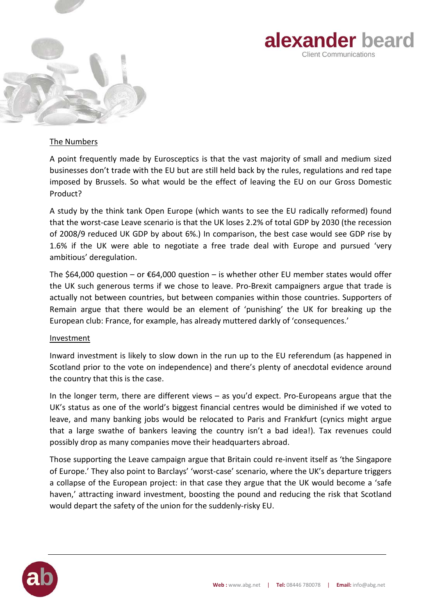



### The Numbers

A point frequently made by Eurosceptics is that the vast majority of small and medium sized businesses don't trade with the EU but are still held back by the rules, regulations and red tape imposed by Brussels. So what would be the effect of leaving the EU on our Gross Domestic Product?

A study by the think tank Open Europe (which wants to see the EU radically reformed) found that the worst-case Leave scenario is that the UK loses 2.2% of total GDP by 2030 (the recession of 2008/9 reduced UK GDP by about 6%.) In comparison, the best case would see GDP rise by 1.6% if the UK were able to negotiate a free trade deal with Europe and pursued 'very ambitious' deregulation.

The \$64,000 question – or  $\epsilon$ 64,000 question – is whether other EU member states would offer the UK such generous terms if we chose to leave. Pro-Brexit campaigners argue that trade is actually not between countries, but between companies within those countries. Supporters of Remain argue that there would be an element of 'punishing' the UK for breaking up the European club: France, for example, has already muttered darkly of 'consequences.'

#### **Investment**

Inward investment is likely to slow down in the run up to the EU referendum (as happened in Scotland prior to the vote on independence) and there's plenty of anecdotal evidence around the country that this is the case.

In the longer term, there are different views – as you'd expect. Pro-Europeans argue that the UK's status as one of the world's biggest financial centres would be diminished if we voted to leave, and many banking jobs would be relocated to Paris and Frankfurt (cynics might argue that a large swathe of bankers leaving the country isn't a bad idea!). Tax revenues could possibly drop as many companies move their headquarters abroad.

Those supporting the Leave campaign argue that Britain could re-invent itself as 'the Singapore of Europe.' They also point to Barclays' 'worst-case' scenario, where the UK's departure triggers a collapse of the European project: in that case they argue that the UK would become a 'safe haven,' attracting inward investment, boosting the pound and reducing the risk that Scotland would depart the safety of the union for the suddenly-risky EU.

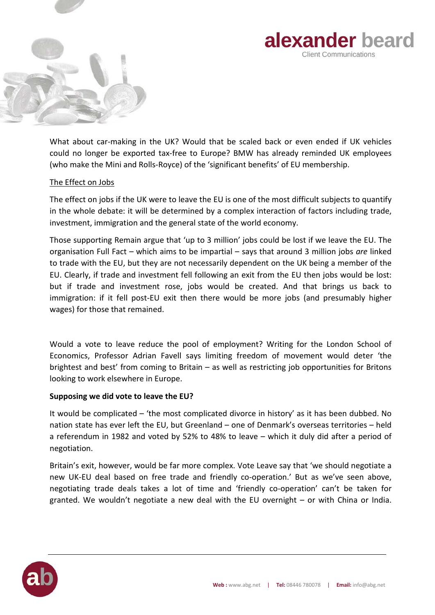



What about car-making in the UK? Would that be scaled back or even ended if UK vehicles could no longer be exported tax-free to Europe? BMW has already reminded UK employees (who make the Mini and Rolls-Royce) of the 'significant benefits' of EU membership.

## The Effect on Jobs

The effect on jobs if the UK were to leave the EU is one of the most difficult subjects to quantify in the whole debate: it will be determined by a complex interaction of factors including trade, investment, immigration and the general state of the world economy.

Those supporting Remain argue that 'up to 3 million' jobs could be lost if we leave the EU. The organisation Full Fact – which aims to be impartial – says that around 3 million jobs *are* linked to trade with the EU, but they are not necessarily dependent on the UK being a member of the EU. Clearly, if trade and investment fell following an exit from the EU then jobs would be lost: but if trade and investment rose, jobs would be created. And that brings us back to immigration: if it fell post-EU exit then there would be more jobs (and presumably higher wages) for those that remained.

Would a vote to leave reduce the pool of employment? Writing for the London School of Economics, Professor Adrian Favell says limiting freedom of movement would deter 'the brightest and best' from coming to Britain – as well as restricting job opportunities for Britons looking to work elsewhere in Europe.

## **Supposing we did vote to leave the EU?**

It would be complicated – 'the most complicated divorce in history' as it has been dubbed. No nation state has ever left the EU, but Greenland – one of Denmark's overseas territories – held a referendum in 1982 and voted by 52% to 48% to leave – which it duly did after a period of negotiation.

Britain's exit, however, would be far more complex. Vote Leave say that 'we should negotiate a new UK-EU deal based on free trade and friendly co-operation.' But as we've seen above, negotiating trade deals takes a lot of time and 'friendly co-operation' can't be taken for granted. We wouldn't negotiate a new deal with the EU overnight – or with China or India.

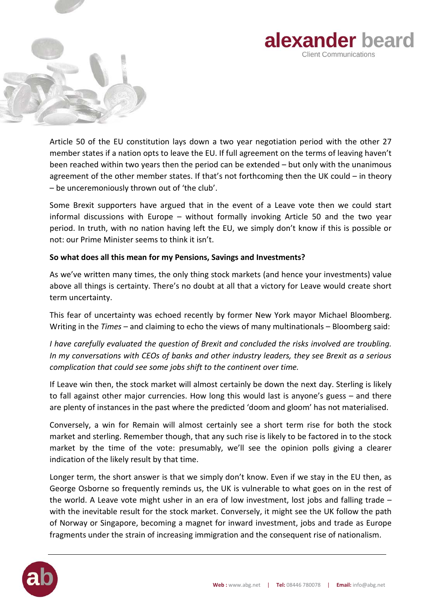



Article 50 of the EU constitution lays down a two year negotiation period with the other 27 member states if a nation opts to leave the EU. If full agreement on the terms of leaving haven't been reached within two years then the period can be extended – but only with the unanimous agreement of the other member states. If that's not forthcoming then the UK could – in theory – be unceremoniously thrown out of 'the club'.

Some Brexit supporters have argued that in the event of a Leave vote then we could start informal discussions with Europe – without formally invoking Article 50 and the two year period. In truth, with no nation having left the EU, we simply don't know if this is possible or not: our Prime Minister seems to think it isn't.

## **So what does all this mean for my Pensions, Savings and Investments?**

As we've written many times, the only thing stock markets (and hence your investments) value above all things is certainty. There's no doubt at all that a victory for Leave would create short term uncertainty.

This fear of uncertainty was echoed recently by former New York mayor Michael Bloomberg. Writing in the *Times* – and claiming to echo the views of many multinationals – Bloomberg said:

*I have carefully evaluated the question of Brexit and concluded the risks involved are troubling. In my conversations with CEOs of banks and other industry leaders, they see Brexit as a serious complication that could see some jobs shift to the continent over time.* 

If Leave win then, the stock market will almost certainly be down the next day. Sterling is likely to fall against other major currencies. How long this would last is anyone's guess – and there are plenty of instances in the past where the predicted 'doom and gloom' has not materialised.

Conversely, a win for Remain will almost certainly see a short term rise for both the stock market and sterling. Remember though, that any such rise is likely to be factored in to the stock market by the time of the vote: presumably, we'll see the opinion polls giving a clearer indication of the likely result by that time.

Longer term, the short answer is that we simply don't know. Even if we stay in the EU then, as George Osborne so frequently reminds us, the UK is vulnerable to what goes on in the rest of the world. A Leave vote might usher in an era of low investment, lost jobs and falling trade – with the inevitable result for the stock market. Conversely, it might see the UK follow the path of Norway or Singapore, becoming a magnet for inward investment, jobs and trade as Europe fragments under the strain of increasing immigration and the consequent rise of nationalism.